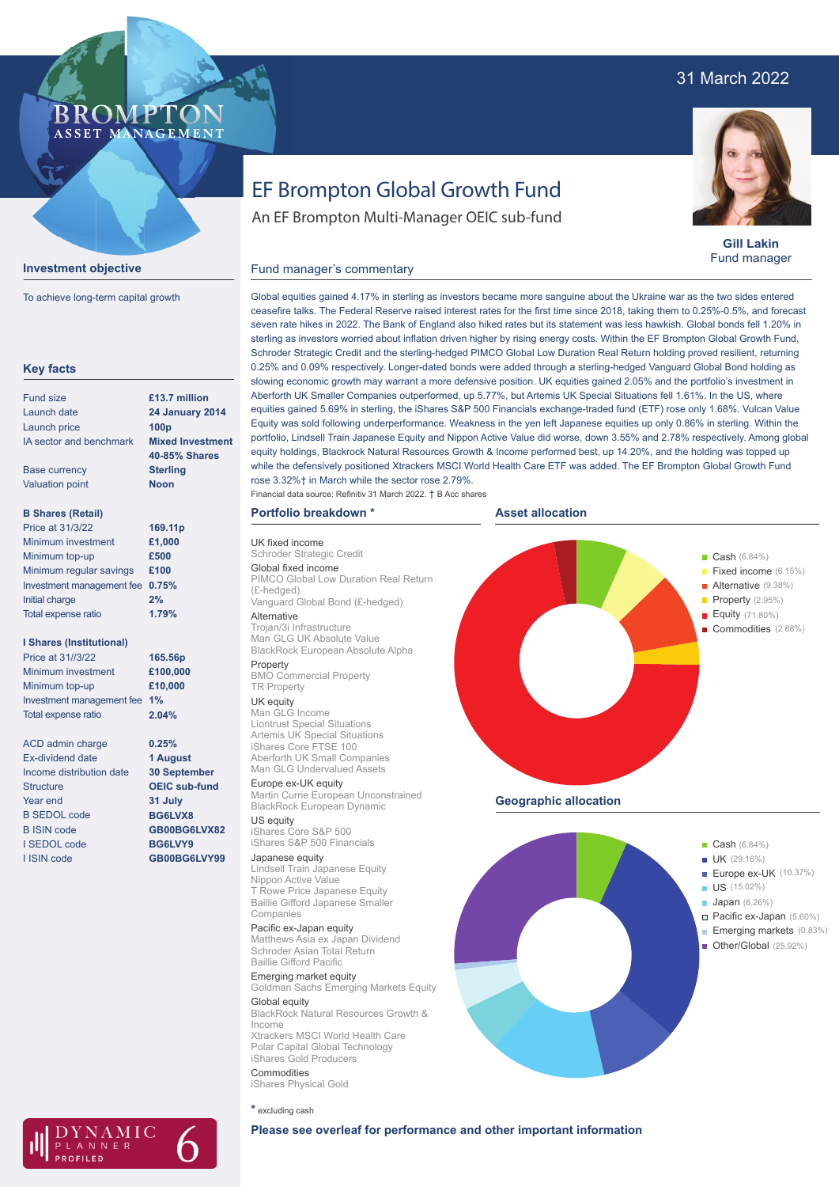# 31 March 2022

### **BROMPTO** ASSET MANAGEMENT



To achieve long-term capital growth

| <b>Fund size</b>                | £13.7 million           |
|---------------------------------|-------------------------|
| Launch date                     | <b>24 January 2014</b>  |
| Launch price                    | 100 <sub>p</sub>        |
| IA sector and benchmark         | <b>Mixed Investment</b> |
|                                 | 40-85% Shares           |
| <b>Base currency</b>            | <b>Sterling</b>         |
| <b>Valuation point</b>          | <b>Noon</b>             |
| <b>B Shares (Retail)</b>        |                         |
| Price at 31/3/22                | 169.11p                 |
| Minimum investment              | £1,000                  |
| Minimum top-up                  | £500                    |
| Minimum regular savings         | £100                    |
| Investment management fee       | 0.75%                   |
| <b>Initial charge</b>           | 2%                      |
| Total expense ratio             | 1.79%                   |
| <b>I Shares (Institutional)</b> |                         |
| Price at 31//3/22               | 165.56p                 |
| Minimum investment              | £100,000                |
| Minimum top-up                  | £10,000                 |
| Investment management fee       | 1%                      |
| Total expense ratio             | 2.04%                   |
| <b>ACD</b> admin charge         | 0.25%                   |
| <b>Ex-dividend date</b>         | 1 August                |
| Income distribution date        | <b>30 September</b>     |
| <b>Structure</b>                | <b>OEIC sub-fund</b>    |
| Year end                        | 31 July                 |
| <b>B SEDOL code</b>             | BG6LVX8                 |
| <b>B ISIN code</b>              | GB00BG6LVX82            |
| <b>I SEDOL code</b>             | BG6LVY9                 |
| I ISIN code                     | GB00BG6LVY99            |

# EF Brompton Global Growth Fund

An EF Brompton Multi-Manager OEIC sub-fund

**Gill Lakin** Fund manager

Global equities gained 4.17% in sterling as investors became more sanguine about the Ukraine war as the two sides entered ceasefire talks. The Federal Reserve raised interest rates for the first time since 2018, taking them to 0.25%-0.5%, and forecast seven rate hikes in 2022. The Bank of England also hiked rates but its statement was less hawkish. Global bonds fell 1.20% in sterling as investors worried about inflation driven higher by rising energy costs. Within the EF Brompton Global Growth Fund, Schroder Strategic Credit and the sterling-hedged PIMCO Global Low Duration Real Return holding proved resilient, returning 0.25% and 0.09% respectively. Longer-dated bonds were added through a sterling-hedged Vanguard Global Bond holding as slowing economic growth may warrant a more defensive position. UK equities gained 2.05% and the portfolio's investment in Aberforth UK Smaller Companies outperformed, up 5.77%, but Artemis UK Special Situations fell 1.61%. In the US, where equities gained 5.69% in sterling, the iShares S&P 500 Financials exchange-traded fund (ETF) rose only 1.68%. Vulcan Value Equity was sold following underperformance. Weakness in the yen left Japanese equities up only 0.86% in sterling. Within the portfolio, Lindsell Train Japanese Equity and Nippon Active Value did worse, down 3.55% and 2.78% respectively. Among global equity holdings, Blackrock Natural Resources Growth & Income performed best, up 14.20%, and the holding was topped up while the defensively positioned Xtrackers MSCI World Health Care ETF was added. The EF Brompton Global Growth Fund rose 3.32%† in March while the sector rose 2.79%.

**Asset allocation**

Financial data source: Refinitiv 31 March 2022. † B Acc shares

### **Portfolio breakdown \***

Fund manager's commentary

UK fixed income Schroder Strategic Credit Global fixed income PIMCO Global Low Duration Real Return (£-hedged) Vanguard Global Bond (£-hedged)

Alternative Trojan/3i Infrastructure Man GLG UK Absolute Value BlackRock European Absolute Alpha Property

#### BMO Commercial Property TR Property UK equity

Man GLG Income Liontrust Special Situations Artemis UK Special Situations iShares Core FTSE 100 Aberforth UK Small Companies Man GLG Undervalued Assets

Europe ex-UK equity Martin Currie European Unconstrained BlackRock European Dynamic

US equity iShares Core S&P 500 iShares S&P 500 Financials

### Japanese equity

Lindsell Train Japanese Equity Nippon Active Value T Rowe Price Japanese Equity Baillie Gifford Japanese Smaller Companies

Pacific ex-Japan equity Matthews Asia ex Japan Dividend Schroder Asian Total Return Baillie Gifford Pacific

Emerging market equity Goldman Sachs Emerging Markets Equity Global equity BlackRock Natural Resources Growth & Income Xtrackers MSCI World Health Care Polar Capital Global Technology iShares Gold Producers Commodities

iShares Physical Gold

**\*** excluding cash



J



**Cash** (6.84%)

- $\blacksquare$  Alternative (9.38%)
	- Property (2.95%) Equity (71.80%)
	- Commodities (2.88%)

**Geographic allocation**



- **Example 20 and 20 and 20 and 20 and 20 and 20 and 20 and 20 and 20 and 20 and 20 and 20 and 20 and 20 and 20 and 20 and 20 and 20 and 20 and 20 and 20 and 20 and 20 and 20 and 20 and 20 and 20 and 20 and 20 and 20 and 20** 
	- Europe ex-UK (10.37%)
- **Example 2018** (15.02%)
- **Japan** (6.26%)
	- Pacific ex-Japan (5.60%) Emerging markets (0.83%)
- (25.92%) । 25.92%) । 25.92%)